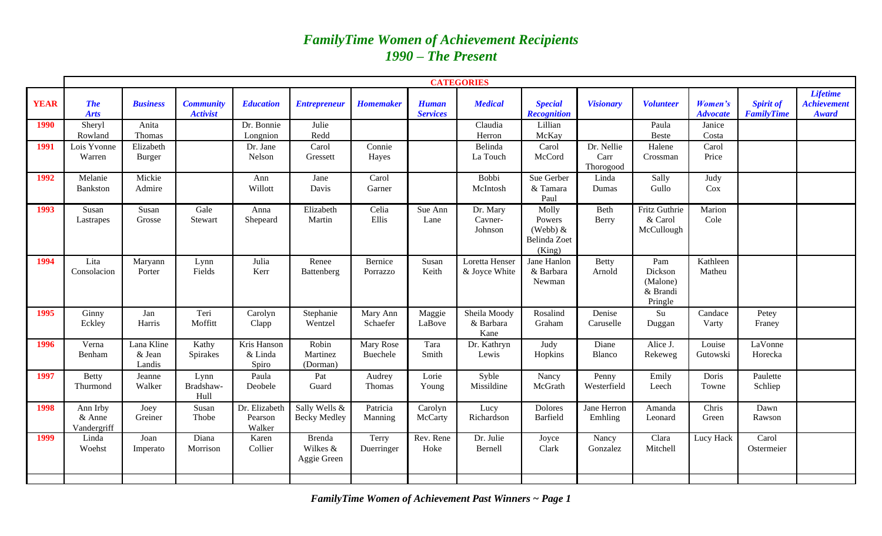# *FamilyTime Women of Achievement Recipients 1990 – The Present*

|             | <b>CATEGORIES</b>                   |                                |                                     |                                    |                                          |                            |                                 |                                   |                                                         |                                 |                                                   |                            |                                       |                                                       |
|-------------|-------------------------------------|--------------------------------|-------------------------------------|------------------------------------|------------------------------------------|----------------------------|---------------------------------|-----------------------------------|---------------------------------------------------------|---------------------------------|---------------------------------------------------|----------------------------|---------------------------------------|-------------------------------------------------------|
| <b>YEAR</b> | <b>The</b><br><b>Arts</b>           | <b>Business</b>                | <b>Community</b><br><b>Activist</b> | <b>Education</b>                   | <b>Entrepreneur</b>                      | <b>Homemaker</b>           | <b>Human</b><br><b>Services</b> | <b>Medical</b>                    | <b>Special</b><br><b>Recognition</b>                    | <b>Visionary</b>                | <b>Volunteer</b>                                  | Women's<br><b>Advocate</b> | <b>Spirit of</b><br><b>FamilyTime</b> | <b>Lifetime</b><br><b>Achievement</b><br><b>Award</b> |
| 1990        | Sheryl<br>Rowland                   | Anita<br>Thomas                |                                     | Dr. Bonnie<br>Longnion             | Julie<br>Redd                            |                            |                                 | Claudia<br>Herron                 | Lillian<br>McKay                                        |                                 | Paula<br><b>Beste</b>                             | Janice<br>Costa            |                                       |                                                       |
| 1991        | Lois Yvonne<br>Warren               | Elizabeth<br><b>Burger</b>     |                                     | Dr. Jane<br>Nelson                 | Carol<br>Gressett                        | Connie<br>Hayes            |                                 | Belinda<br>La Touch               | Carol<br>McCord                                         | Dr. Nellie<br>Carr<br>Thorogood | Halene<br>Crossman                                | Carol<br>Price             |                                       |                                                       |
| 1992        | Melanie<br><b>Bankston</b>          | Mickie<br>Admire               |                                     | Ann<br>Willott                     | Jane<br>Davis                            | Carol<br>Garner            |                                 | Bobbi<br>McIntosh                 | Sue Gerber<br>& Tamara<br>Paul                          | Linda<br>Dumas                  | Sally<br>Gullo                                    | Judy<br>Cox                |                                       |                                                       |
| 1993        | Susan<br>Lastrapes                  | Susan<br>Grosse                | Gale<br>Stewart                     | Anna<br>Shepeard                   | Elizabeth<br>Martin                      | Celia<br>Ellis             | Sue Ann<br>Lane                 | Dr. Mary<br>Cavner-<br>Johnson    | Molly<br>Powers<br>(Webb) $&$<br>Belinda Zoet<br>(King) | Beth<br>Berry                   | Fritz Guthrie<br>& Carol<br>McCullough            | Marion<br>Cole             |                                       |                                                       |
| 1994        | Lita<br>Consolacion                 | Maryann<br>Porter              | Lynn<br>Fields                      | Julia<br>Kerr                      | Renee<br>Battenberg                      | Bernice<br>Porrazzo        | Susan<br>Keith                  | Loretta Henser<br>& Joyce White   | Jane Hanlon<br>& Barbara<br>Newman                      | <b>Betty</b><br>Arnold          | Pam<br>Dickson<br>(Malone)<br>& Brandi<br>Pringle | Kathleen<br>Matheu         |                                       |                                                       |
| 1995        | Ginny<br>Eckley                     | Jan<br>Harris                  | Teri<br>Moffitt                     | Carolyn<br>Clapp                   | Stephanie<br>Wentzel                     | Mary Ann<br>Schaefer       | Maggie<br>LaBove                | Sheila Moody<br>& Barbara<br>Kane | Rosalind<br>Graham                                      | Denise<br>Caruselle             | Su<br>Duggan                                      | Candace<br>Varty           | Petey<br>Franey                       |                                                       |
| 1996        | Verna<br>Benham                     | Lana Kline<br>& Jean<br>Landis | Kathy<br>Spirakes                   | Kris Hanson<br>& Linda<br>Spiro    | Robin<br>Martinez<br>(Dorman)            | Mary Rose<br>Buechele      | Tara<br>Smith                   | Dr. Kathryn<br>Lewis              | Judy<br>Hopkins                                         | Diane<br>Blanco                 | Alice J.<br>Rekeweg                               | Louise<br>Gutowski         | LaVonne<br>Horecka                    |                                                       |
| 1997        | <b>Betty</b><br>Thurmond            | Jeanne<br>Walker               | Lynn<br>Bradshaw-<br>Hull           | Paula<br>Deobele                   | Pat<br>Guard                             | Audrey<br><b>Thomas</b>    | Lorie<br>Young                  | Syble<br>Missildine               | Nancy<br>McGrath                                        | Penny<br>Westerfield            | Emily<br>Leech                                    | Doris<br>Towne             | Paulette<br>Schliep                   |                                                       |
| 1998        | Ann Irby<br>$&$ Anne<br>Vandergriff | Joey<br>Greiner                | Susan<br>Thobe                      | Dr. Elizabeth<br>Pearson<br>Walker | Sally Wells &<br><b>Becky Medley</b>     | Patricia<br><b>Manning</b> | Carolyn<br>McCarty              | Lucy<br>Richardson                | Dolores<br>Barfield                                     | Jane Herron<br>Emhling          | Amanda<br>Leonard                                 | Chris<br>Green             | Dawn<br>Rawson                        |                                                       |
| 1999        | Linda<br>Woehst                     | Joan<br>Imperato               | Diana<br>Morrison                   | Karen<br>Collier                   | <b>Brenda</b><br>Wilkes &<br>Aggie Green | Terry<br>Duerringer        | Rev. Rene<br>Hoke               | Dr. Julie<br>Bernell              | Joyce<br>Clark                                          | Nancy<br>Gonzalez               | Clara<br>Mitchell                                 | Lucy Hack                  | Carol<br>Ostermeier                   |                                                       |
|             |                                     |                                |                                     |                                    |                                          |                            |                                 |                                   |                                                         |                                 |                                                   |                            |                                       |                                                       |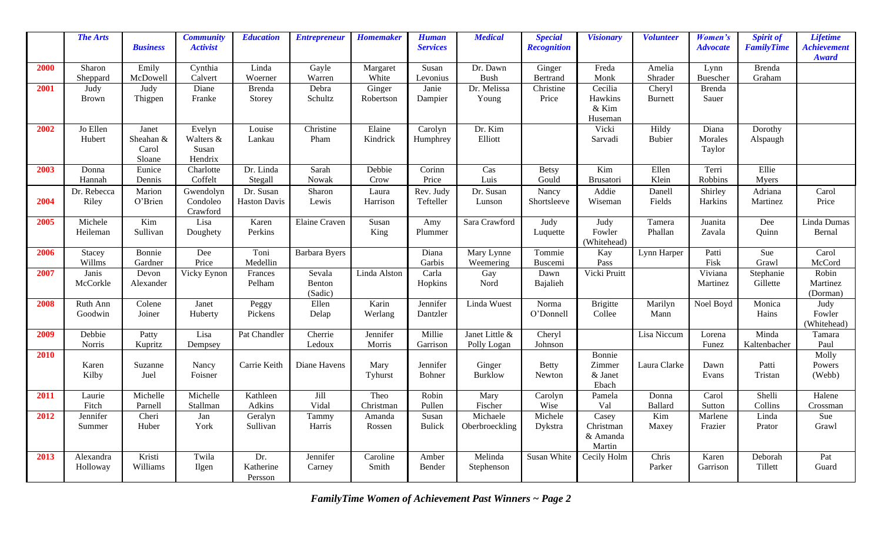|      | <b>The Arts</b>  |                  | <b>Community</b>     | <b>Education</b>     | <b>Entrepreneur</b>  | <b>Homemaker</b> | <b>Human</b>    | <b>Medical</b>                  | <b>Special</b>        | <b>Visionary</b>        | <b>Volunteer</b> | Women's                 | <b>Spirit of</b>  | <b>Lifetime</b>                    |
|------|------------------|------------------|----------------------|----------------------|----------------------|------------------|-----------------|---------------------------------|-----------------------|-------------------------|------------------|-------------------------|-------------------|------------------------------------|
|      |                  | <b>Business</b>  | <b>Activist</b>      |                      |                      |                  | <b>Services</b> |                                 | <b>Recognition</b>    |                         |                  | <b>Advocate</b>         | <b>FamilyTime</b> | <b>Achievement</b><br><b>Award</b> |
| 2000 | Sharon           | Emily            | Cynthia              | Linda                | Gayle                | Margaret         | Susan           | Dr. Dawn                        | Ginger                | Freda                   | Amelia           | Lynn                    | <b>Brenda</b>     |                                    |
|      | Sheppard         | McDowell         | Calvert              | Woerner              | Warren               | White            | Levonius        | <b>Bush</b>                     | Bertrand              | Monk                    | Shrader          | Buescher                | Graham            |                                    |
| 2001 | Judy             | Judy             | Diane                | <b>Brenda</b>        | Debra                | Ginger           | Janie           | Dr. Melissa                     | Christine             | Cecilia                 | Cheryl           | Brenda                  |                   |                                    |
|      | Brown            | Thigpen          | Franke               | Storey               | Schultz              | Robertson        | Dampier         | Young                           | Price                 | Hawkins<br>& Kim        | Burnett          | Sauer                   |                   |                                    |
|      |                  |                  |                      |                      |                      |                  |                 |                                 |                       | Huseman                 |                  |                         |                   |                                    |
| 2002 | Jo Ellen         | Janet            | Evelyn               | Louise               | Christine            | Elaine           | Carolyn         | Dr. Kim                         |                       | Vicki                   | Hildy            | Diana                   | Dorothy           |                                    |
|      | Hubert           | Sheahan &        | Walters &            | Lankau               | Pham                 | Kindrick         | Humphrey        | Elliott                         |                       | Sarvadi                 | <b>Bubier</b>    | Morales                 | Alspaugh          |                                    |
|      |                  | Carol            | Susan                |                      |                      |                  |                 |                                 |                       |                         |                  | Taylor                  |                   |                                    |
|      |                  | Sloane           | Hendrix              |                      |                      |                  |                 |                                 |                       |                         |                  |                         |                   |                                    |
| 2003 | Donna<br>Hannah  | Eunice<br>Dennis | Charlotte<br>Coffelt | Dr. Linda<br>Stegall | Sarah<br>Nowak       | Debbie<br>Crow   | Corinn<br>Price | $\overline{\text{Cas}}$<br>Luis | <b>Betsy</b><br>Gould | Kim<br><b>Brusatori</b> | Ellen<br>Klein   | Terri<br><b>Robbins</b> | Ellie<br>Myers    |                                    |
|      | Dr. Rebecca      | Marion           | Gwendolyn            | Dr. Susan            | Sharon               | Laura            | Rev. Judy       | Dr. Susan                       | Nancy                 | Addie                   | Danell           | Shirley                 | Adriana           | Carol                              |
| 2004 | Riley            | O'Brien          | Condoleo             | <b>Haston Davis</b>  | Lewis                | Harrison         | Tefteller       | Lunson                          | Shortsleeve           | Wiseman                 | Fields           | Harkins                 | Martinez          | Price                              |
|      |                  |                  | Crawford             |                      |                      |                  |                 |                                 |                       |                         |                  |                         |                   |                                    |
| 2005 | Michele          | Kim              | Lisa                 | Karen                | <b>Elaine Craven</b> | Susan            | Amy             | Sara Crawford                   | Judy                  | Judy                    | Tamera           | Juanita                 | Dee               | Linda Dumas                        |
|      | Heileman         | Sullivan         | Doughety             | Perkins              |                      | King             | Plummer         |                                 | Luquette              | Fowler                  | Phallan          | Zavala                  | Quinn             | Bernal                             |
| 2006 |                  | Bonnie           | Dee                  | Toni                 | Barbara Byers        |                  | Diana           | Mary Lynne                      | Tommie                | (Whitehead)<br>Kay      | Lynn Harper      | Patti                   | Sue               | Carol                              |
|      | Stacey<br>Willms | Gardner          | Price                | Medellin             |                      |                  | Garbis          | Weemering                       | Buscemi               | Pass                    |                  | Fisk                    | Grawl             | McCord                             |
| 2007 | Janis            | Devon            | Vicky Eynon          | Frances              | Sevala               | Linda Alston     | Carla           | Gay                             | Dawn                  | Vicki Pruitt            |                  | Viviana                 | Stephanie         | Robin                              |
|      | McCorkle         | Alexander        |                      | Pelham               | Benton               |                  | Hopkins         | Nord                            | Bajalieh              |                         |                  | Martinez                | Gillette          | Martinez                           |
|      |                  |                  |                      |                      | (Sadic)              |                  |                 |                                 |                       |                         |                  |                         |                   | (Dorman)                           |
| 2008 | Ruth Ann         | Colene           | Janet                | Peggy                | Ellen                | Karin            | Jennifer        | Linda Wuest                     | Norma                 | <b>Brigitte</b>         | Marilyn          | Noel Boyd               | Monica            | Judy                               |
|      | Goodwin          | Joiner           | Huberty              | Pickens              | Delap                | Werlang          | Dantzler        |                                 | O'Donnell             | Collee                  | Mann             |                         | Hains             | Fowler<br>(Whitehead)              |
| 2009 | Debbie           | Patty            | Lisa                 | Pat Chandler         | Cherrie              | Jennifer         | Millie          | Janet Little &                  | Cheryl                |                         | Lisa Niccum      | Lorena                  | Minda             | Tamara                             |
|      | Norris           | Kupritz          | Dempsey              |                      | Ledoux               | Morris           | Garrison        | Polly Logan                     | Johnson               |                         |                  | Funez                   | Kaltenbacher      | Paul                               |
| 2010 |                  |                  |                      |                      |                      |                  |                 |                                 |                       | Bonnie                  |                  |                         |                   | Molly                              |
|      | Karen            | Suzanne          | Nancy                | Carrie Keith         | Diane Havens         | Mary             | Jennifer        | Ginger                          | <b>Betty</b>          | Zimmer                  | Laura Clarke     | Dawn                    | Patti             | Powers                             |
|      | Kilby            | Juel             | Foisner              |                      |                      | Tyhurst          | Bohner          | <b>Burklow</b>                  | Newton                | & Janet<br>Ebach        |                  | Evans                   | Tristan           | (Webb)                             |
| 2011 | Laurie           | Michelle         | Michelle             | Kathleen             | Jill                 | Theo             | Robin           | Mary                            | Carolyn               | Pamela                  | Donna            | Carol                   | Shelli            | Halene                             |
|      | Fitch            | Parnell          | Stallman             | Adkins               | Vidal                | Christman        | Pullen          | Fischer                         | Wise                  | Val                     | <b>Ballard</b>   | Sutton                  | Collins           | Crossman                           |
| 2012 | Jennifer         | Cheri            | Jan                  | Geralyn              | Tammy                | Amanda           | Susan           | Michaele                        | Michele               | Casey                   | Kim              | Marlene                 | Linda             | Sue                                |
|      | Summer           | Huber            | York                 | Sullivan             | Harris               | Rossen           | <b>Bulick</b>   | Oberbroeckling                  | Dykstra               | Christman               | Maxey            | Frazier                 | Prator            | Grawl                              |
|      |                  |                  |                      |                      |                      |                  |                 |                                 |                       | & Amanda<br>Martin      |                  |                         |                   |                                    |
| 2013 | Alexandra        | Kristi           | Twila                | Dr.                  | Jennifer             | Caroline         | Amber           | Melinda                         | Susan White           | Cecily Holm             | Chris            | Karen                   | Deborah           | Pat                                |
|      | Holloway         | Williams         | Ilgen                | Katherine            | Carney               | Smith            | Bender          | Stephenson                      |                       |                         | Parker           | Garrison                | Tillett           | Guard                              |
|      |                  |                  |                      | Persson              |                      |                  |                 |                                 |                       |                         |                  |                         |                   |                                    |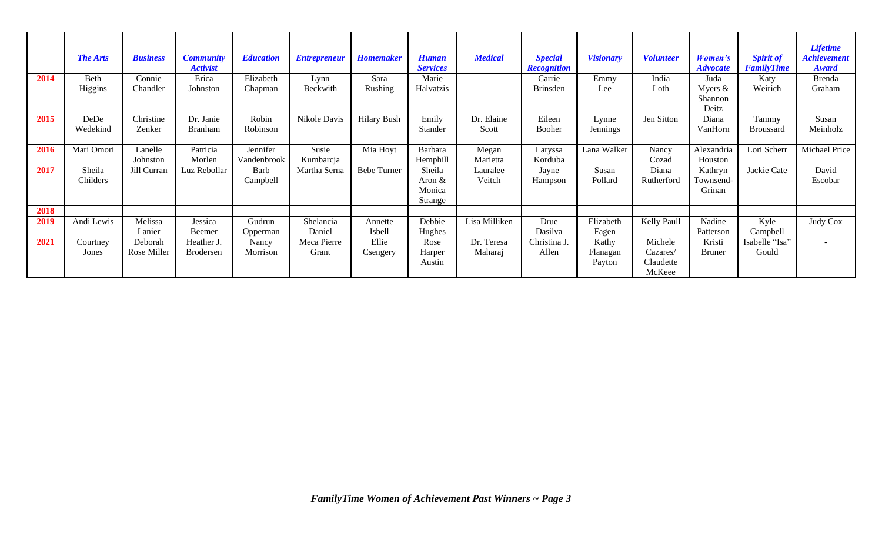|      | <b>The Arts</b>    | <b>Business</b>        | <b>Community</b><br><b>Activist</b> | <b>Education</b>        | <b>Entrepreneur</b>  | <b>Homemaker</b>   | <b>Human</b><br><b>Services</b>          | <b>Medical</b>        | <b>Special</b><br><b>Recognition</b> | <b>Visionary</b>            | <b>Volunteer</b>                           | Women's<br><b>Advocate</b>            | <b>Spirit of</b><br><b>FamilyTime</b> | <b>Lifetime</b><br><b>Achievement</b><br>Award |
|------|--------------------|------------------------|-------------------------------------|-------------------------|----------------------|--------------------|------------------------------------------|-----------------------|--------------------------------------|-----------------------------|--------------------------------------------|---------------------------------------|---------------------------------------|------------------------------------------------|
| 2014 | Beth<br>Higgins    | Connie<br>Chandler     | Erica<br>Johnston                   | Elizabeth<br>Chapman    | Lynn<br>Beckwith     | Sara<br>Rushing    | Marie<br>Halvatzis                       |                       | Carrie<br><b>Brinsden</b>            | Emmy<br>Lee                 | India<br>Loth                              | Juda<br>Myers $&$<br>Shannon<br>Deitz | Katy<br>Weirich                       | <b>Brenda</b><br>Graham                        |
| 2015 | DeDe<br>Wedekind   | Christine<br>Zenker    | Dr. Janie<br>Branham                | Robin<br>Robinson       | Nikole Davis         | <b>Hilary Bush</b> | Emily<br>Stander                         | Dr. Elaine<br>Scott   | Eileen<br>Booher                     | Lynne<br>Jennings           | Jen Sitton                                 | Diana<br>VanHorn                      | Tammy<br><b>Broussard</b>             | Susan<br>Meinholz                              |
| 2016 | Mari Omori         | Lanelle<br>Johnston    | Patricia<br>Morlen                  | Jennifer<br>Vandenbrook | Susie<br>Kumbarcja   | Mia Hoyt           | Barbara<br>Hemphill                      | Megan<br>Marietta     | Laryssa<br>Korduba                   | Lana Walker                 | Nancy<br>Cozad                             | Alexandria<br>Houston                 | Lori Scherr                           | Michael Price                                  |
| 2017 | Sheila<br>Childers | Jill Curran            | Luz Rebollar                        | Barb<br>Campbell        | Martha Serna         | <b>Bebe Turner</b> | Sheila<br>Aron $\&$<br>Monica<br>Strange | Lauralee<br>Veitch    | Jayne<br>Hampson                     | Susan<br>Pollard            | Diana<br>Rutherford                        | Kathryn<br>Fownsend-<br>Grinan        | Jackie Cate                           | David<br>Escobar                               |
| 2018 |                    |                        |                                     |                         |                      |                    |                                          |                       |                                      |                             |                                            |                                       |                                       |                                                |
| 2019 | Andi Lewis         | Melissa<br>Lanier      | Jessica<br>Beemer                   | Gudrun<br>Opperman      | Shelancia<br>Daniel  | Annette<br>Isbell  | Debbie<br>Hughes                         | Lisa Milliken         | Drue<br>Dasilva                      | Elizabeth<br>Fagen          | Kelly Paull                                | Nadine<br>Patterson                   | Kyle<br>Campbell                      | Judy Cox                                       |
| 2021 | Courtney<br>Jones  | Deborah<br>Rose Miller | Heather J.<br><b>Brodersen</b>      | Nancy<br>Morrison       | Meca Pierre<br>Grant | Ellie<br>Csengery  | Rose<br>Harper<br>Austin                 | Dr. Teresa<br>Maharaj | Christina J.<br>Allen                | Kathy<br>Flanagan<br>Payton | Michele<br>Cazares/<br>Claudette<br>McKeee | Kristi<br><b>Bruner</b>               | Isabelle "Isa"<br>Gould               |                                                |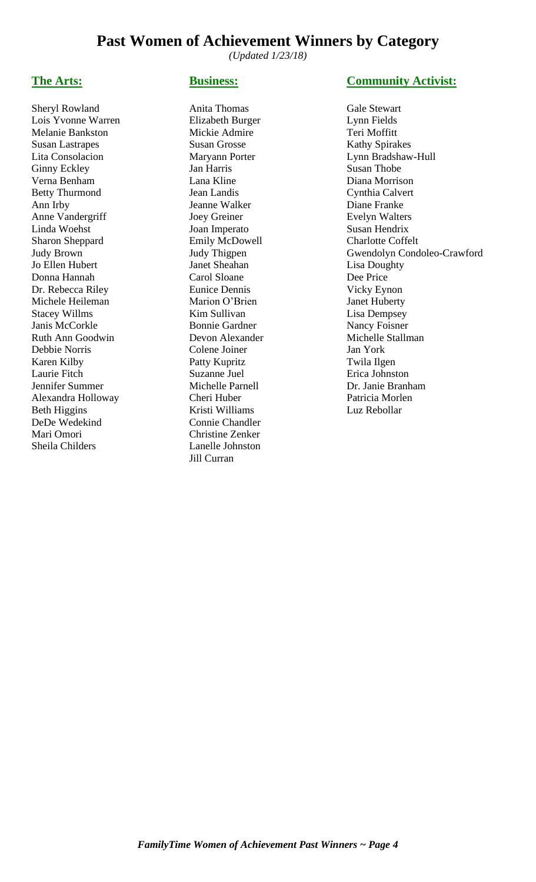# **Past Women of Achievement Winners by Category**

*(Updated 1/23/18)*

Lois Yvonne Warren Elizabeth Burger Lynn Fields Melanie Bankston Mickie Admire Teri Moffitt Susan Lastrapes Susan Grosse Kathy Spirakes Lita Consolacion Maryann Porter Lynn Bradshaw-Hull Ginny Eckley **Jan Harris** Susan Thobe Verna Benham Lana Kline Diana Morrison Betty Thurmond Jean Landis Cynthia Calvert Ann Irby Jeanne Walker Diane Franke Anne Vandergriff Joey Greiner Evelyn Walters Linda Woehst Joan Imperato Susan Hendrix Sharon Sheppard Emily McDowell Charlotte Coffelt Jo Ellen Hubert **Janet Sheahan** Lisa Doughty Donna Hannah Carol Sloane Dee Price Dr. Rebecca Riley Eunice Dennis Vicky Eynon Michele Heileman Marion O'Brien Janet Huberty Stacey Willms **Kim Sullivan** Lisa Dempsey Janis McCorkle Bonnie Gardner Nancy Foisner Ruth Ann Goodwin Devon Alexander Michelle Stallman Debbie Norris Colene Joiner Jan York Karen Kilby Patty Kupritz Twila Ilgen Laurie Fitch Suzanne Juel Erica Johnston Jennifer Summer Michelle Parnell Dr. Janie Branham Alexandra Holloway Cheri Huber Patricia Morlen Beth Higgins Kristi Williams Luz Rebollar DeDe Wedekind Connie Chandler Mari Omori Christine Zenker Sheila Childers Lanelle Johnston

Sheryl Rowland **Anita Thomas** Gale Stewart Jill Curran

### **The Arts: Business: Community Activist:**

Judy Brown Judy Thigpen Gwendolyn Condoleo-Crawford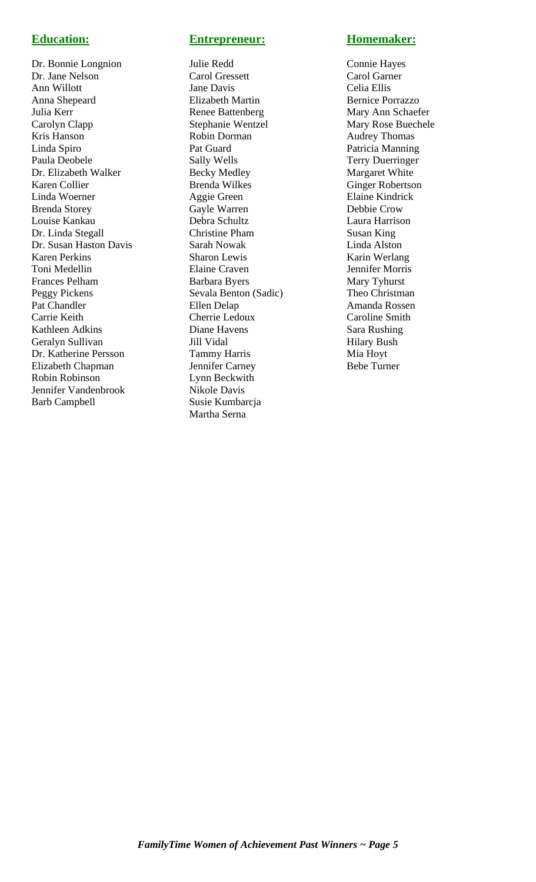Dr. Bonnie Longnion Julie Redd Connie Hayes Dr. Jane Nelson Carol Gressett Carol Garner Ann Willott Jane Davis Celia Ellis Anna Shepeard Elizabeth Martin Bernice Porrazzo Julia Kerr **Renee Battenberg** Mary Ann Schaefer Carolyn Clapp Stephanie Wentzel Mary Rose Buechele Kris Hanson **Robin Dorman** Audrey Thomas Linda Spiro Pat Guard Patricia Manning Dr. Elizabeth Walker Becky Medley Margaret White Karen Collier Brenda Wilkes Ginger Robertson Linda Woerner Aggie Green Elaine Kindrick Brenda Storey **Gayle Warren** Debbie Crow Louise Kankau Debra Schultz Laura Harrison Dr. Linda Stegall Christine Pham Susan King Dr. Susan Haston Davis Sarah Nowak Linda Alston Karen Perkins Sharon Lewis Karin Werlang Toni Medellin Elaine Craven Jennifer Morris Frances Pelham Barbara Byers Mary Tyhurst Peggy Pickens Sevala Benton (Sadic) Theo Christman Pat Chandler **Ellen Delap Ellen Delap Amanda Rossen** Carrie Keith Cherrie Ledoux Caroline Smith Kathleen Adkins Diane Havens Sara Rushing Geralyn Sullivan Jill Vidal Hilary Bush<br>
Dr. Katherine Persson Tammy Harris Mia Hoyt Dr. Katherine Persson Tammy Harris Elizabeth Chapman Jennifer Carney Bebe Turner Robin Robinson Lynn Beckwith Jennifer Vandenbrook Nikole Davis Barb Campbell Susie Kumbarcja

## **Education: Entrepreneur: Homemaker:**

**Paula Paula Devile Sally Wells** Terry Duerringer Martha Serna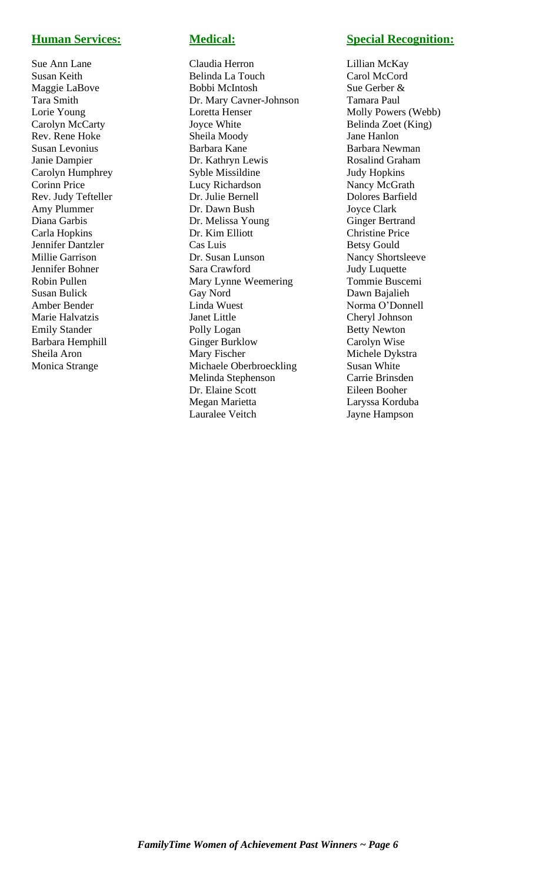Barbara Hemphill Ginger Burklow<br>Sheila Aron Mary Fischer

Sue Ann Lane Claudia Herron Lillian McKay Susan Keith Belinda La Touch Carol McCord Maggie LaBove Bobbi McIntosh Sue Gerber & Tara Smith Dr. Mary Cavner-Johnson Tamara Paul Lorie Young Loretta Henser Molly Powers (Webb)<br>Carolyn McCarty Joyce White Belinda Zoet (King) Carolyn McCarty **Carolyn McCarty** Joyce White **Belinda Zoet** (King) Rev. Rene Hoke Sheila Moody Jane Hanlon Susan Levonius **Barbara Kane** Barbara Newman Barbara Newman Janie Dampier Dr. Kathryn Lewis Rosalind Graham Carolyn Humphrey Syble Missildine Judy Hopkins Corinn Price Lucy Richardson Nancy McGrath Rev. Judy Tefteller Dr. Julie Bernell Dolores Barfield Amy Plummer Dr. Dawn Bush Joyce Clark Diana Garbis Dr. Melissa Young Ginger Bertrand Carla Hopkins Dr. Kim Elliott Christine Price Jennifer Dantzler Cas Luis Cas Luis Betsy Gould Millie Garrison Dr. Susan Lunson Nancy Shortsleeve Jennifer Bohner Sara Crawford Judy Luquette Robin Pullen Mary Lynne Weemering Tommie Buscemi Susan Bulick Gay Nord Dawn Bajalieh Amber Bender Linda Wuest Norma O'Donnell Marie Halvatzis Janet Little Cheryl Johnson Emily Stander Polly Logan Betty Newton<br>
Barbara Hemphill Ginger Burklow Carolyn Wise Sheila Aron Mary Fischer Michele Dykstra Monica Strange Michaele Oberbroeckling Susan White Melinda Stephenson Carrie Brinsden Dr. Elaine Scott Eileen Booher Megan Marietta Laryssa Korduba Lauralee Veitch Jayne Hampson

## **Human Services: Medical: Special Recognition:**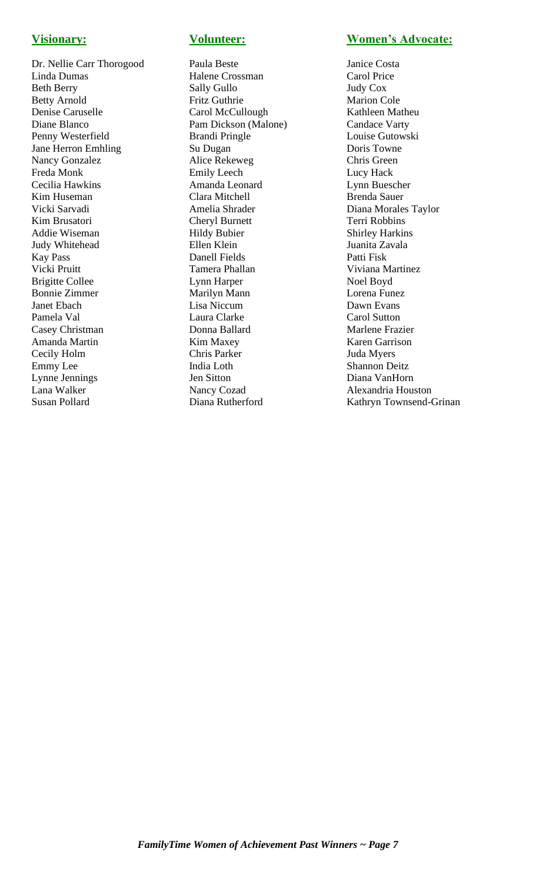Dr. Nellie Carr Thorogood Paula Beste Janice Costa Linda Dumas Halene Crossman Carol Price Beth Berry Sally Gullo Judy Cox Betty Arnold Fritz Guthrie Marion Cole Denise Caruselle Carol McCullough Kathleen Matheu Diane Blanco Pam Dickson (Malone) Candace Varty<br>
Penny Westerfield Brandi Pringle Louise Gutowski Penny Westerfield Brandi Pringle Vane Herron Emhling Su Dugan Doris Towne<br>
Nancy Gonzalez Alice Rekeweg Chris Green Nancy Gonzalez Alice Rekeweg Chris Green<br>Freda Monk Emily Leech Lucy Hack Freda Monk Emily Leech Cecilia Hawkins Amanda Leonard Lynn Buescher Kim Huseman Clara Mitchell Brenda Sauer Vicki Sarvadi Amelia Shrader Diana Morales Taylor Kim Brusatori Cheryl Burnett Terri Robbins Addie Wiseman Hildy Bubier Shirley Harkins Judy Whitehead Ellen Klein Juanita Zavala Kay Pass Danell Fields Patti Fisk Vicki Pruitt **Tamera Phallan** Viviana Martinez Brigitte Collee **Lynn Harper** Noel Boyd Bonnie Zimmer Marilyn Mann Lorena Funez Janet Ebach Lisa Niccum Dawn Evans Pamela Val **Laura Clarke** Carol Sutton Casey Christman **Donna Ballard** Marlene Frazier Amanda Martin Kim Maxey Karen Garrison Cecily Holm Emmy Lee India Loth Shannon Deitz Lynne Jennings Jen Sitton Diana VanHorn Lana Walker Nancy Cozad Alexandria Houston

## **Visionary: Volunteer: Women's Advocate:**

Susan Pollard Diana Rutherford Kathryn Townsend-Grinan